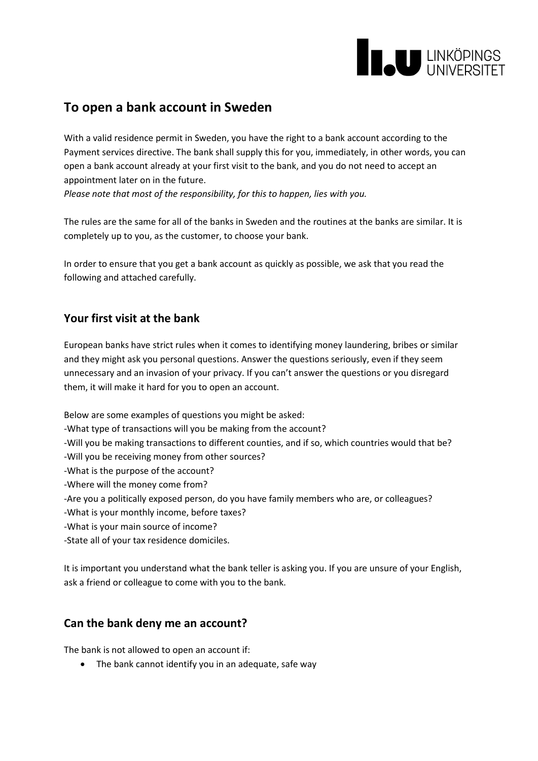

# **To open a bank account in Sweden**

With a valid residence permit in Sweden, you have the right to a bank account according to the Payment services directive. The bank shall supply this for you, immediately, in other words, you can open a bank account already at your first visit to the bank, and you do not need to accept an appointment later on in the future.

*Please note that most of the responsibility, for this to happen, lies with you.*

The rules are the same for all of the banks in Sweden and the routines at the banks are similar. It is completely up to you, as the customer, to choose your bank.

In order to ensure that you get a bank account as quickly as possible, we ask that you read the following and attached carefully.

## **Your first visit at the bank**

European banks have strict rules when it comes to identifying money laundering, bribes or similar and they might ask you personal questions. Answer the questions seriously, even if they seem unnecessary and an invasion of your privacy. If you can't answer the questions or you disregard them, it will make it hard for you to open an account.

Below are some examples of questions you might be asked:

-What type of transactions will you be making from the account?

-Will you be making transactions to different counties, and if so, which countries would that be?

-Will you be receiving money from other sources?

-What is the purpose of the account?

-Where will the money come from?

-Are you a politically exposed person, do you have family members who are, or colleagues?

- -What is your monthly income, before taxes?
- -What is your main source of income?

-State all of your tax residence domiciles.

It is important you understand what the bank teller is asking you. If you are unsure of your English, ask a friend or colleague to come with you to the bank.

#### **Can the bank deny me an account?**

The bank is not allowed to open an account if:

• The bank cannot identify you in an adequate, safe way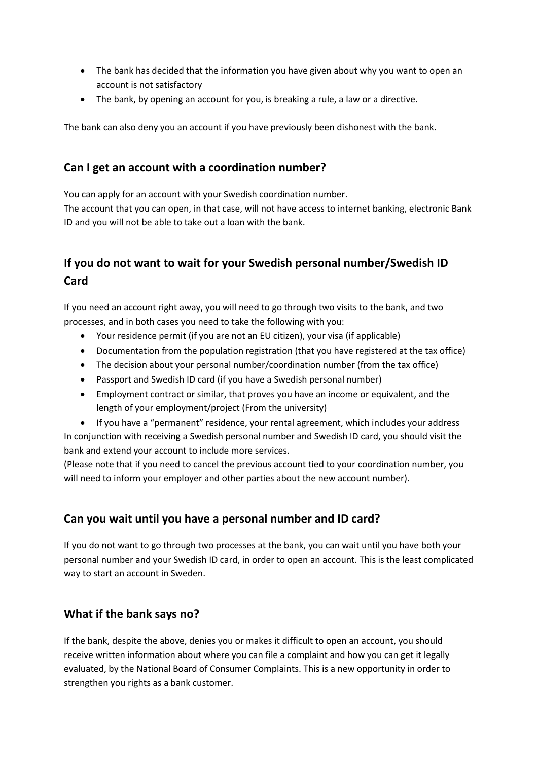- The bank has decided that the information you have given about why you want to open an account is not satisfactory
- The bank, by opening an account for you, is breaking a rule, a law or a directive.

The bank can also deny you an account if you have previously been dishonest with the bank.

## **Can I get an account with a coordination number?**

You can apply for an account with your Swedish coordination number. The account that you can open, in that case, will not have access to internet banking, electronic Bank ID and you will not be able to take out a loan with the bank.

# **If you do not want to wait for your Swedish personal number/Swedish ID Card**

If you need an account right away, you will need to go through two visits to the bank, and two processes, and in both cases you need to take the following with you:

- Your residence permit (if you are not an EU citizen), your visa (if applicable)
- Documentation from the population registration (that you have registered at the tax office)
- The decision about your personal number/coordination number (from the tax office)
- Passport and Swedish ID card (if you have a Swedish personal number)
- Employment contract or similar, that proves you have an income or equivalent, and the length of your employment/project (From the university)

• If you have a "permanent" residence, your rental agreement, which includes your address In conjunction with receiving a Swedish personal number and Swedish ID card, you should visit the bank and extend your account to include more services.

(Please note that if you need to cancel the previous account tied to your coordination number, you will need to inform your employer and other parties about the new account number).

## **Can you wait until you have a personal number and ID card?**

If you do not want to go through two processes at the bank, you can wait until you have both your personal number and your Swedish ID card, in order to open an account. This is the least complicated way to start an account in Sweden.

## **What if the bank says no?**

If the bank, despite the above, denies you or makes it difficult to open an account, you should receive written information about where you can file a complaint and how you can get it legally evaluated, by the National Board of Consumer Complaints. This is a new opportunity in order to strengthen you rights as a bank customer.